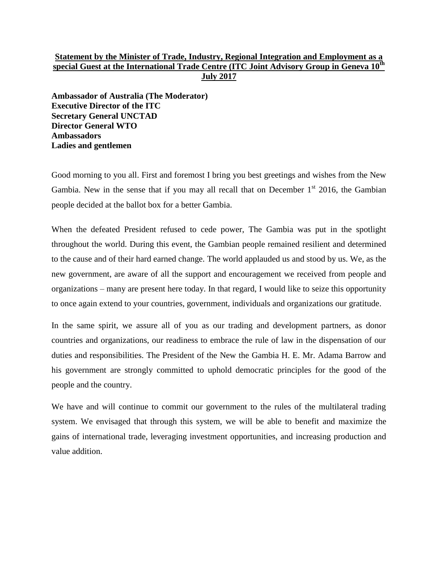# **Statement by the Minister of Trade, Industry, Regional Integration and Employment as a special Guest at the International Trade Centre (ITC Joint Advisory Group in Geneva 10th July 2017**

**Ambassador of Australia (The Moderator) Executive Director of the ITC Secretary General UNCTAD Director General WTO Ambassadors Ladies and gentlemen**

Good morning to you all. First and foremost I bring you best greetings and wishes from the New Gambia. New in the sense that if you may all recall that on December  $1<sup>st</sup>$  2016, the Gambian people decided at the ballot box for a better Gambia.

When the defeated President refused to cede power, The Gambia was put in the spotlight throughout the world. During this event, the Gambian people remained resilient and determined to the cause and of their hard earned change. The world applauded us and stood by us. We, as the new government, are aware of all the support and encouragement we received from people and organizations – many are present here today. In that regard, I would like to seize this opportunity to once again extend to your countries, government, individuals and organizations our gratitude.

In the same spirit, we assure all of you as our trading and development partners, as donor countries and organizations, our readiness to embrace the rule of law in the dispensation of our duties and responsibilities. The President of the New the Gambia H. E. Mr. Adama Barrow and his government are strongly committed to uphold democratic principles for the good of the people and the country.

We have and will continue to commit our government to the rules of the multilateral trading system. We envisaged that through this system, we will be able to benefit and maximize the gains of international trade, leveraging investment opportunities, and increasing production and value addition.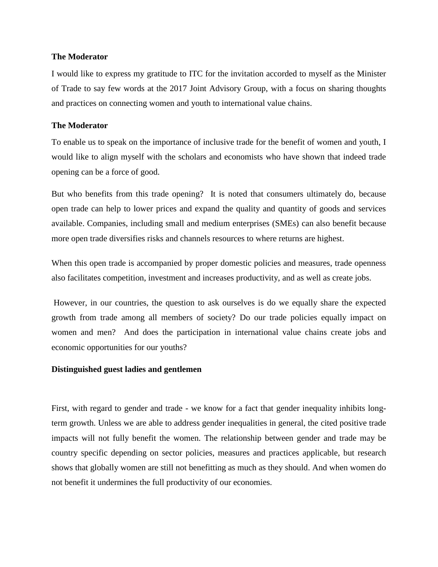## **The Moderator**

I would like to express my gratitude to ITC for the invitation accorded to myself as the Minister of Trade to say few words at the 2017 Joint Advisory Group, with a focus on sharing thoughts and practices on connecting women and youth to international value chains.

# **The Moderator**

To enable us to speak on the importance of inclusive trade for the benefit of women and youth, I would like to align myself with the scholars and economists who have shown that indeed trade opening can be a force of good.

But who benefits from this trade opening? It is noted that consumers ultimately do, because open trade can help to lower prices and expand the quality and quantity of goods and services available. Companies, including small and medium enterprises (SMEs) can also benefit because more open trade diversifies risks and channels resources to where returns are highest.

When this open trade is accompanied by proper domestic policies and measures, trade openness also facilitates competition, investment and increases productivity, and as well as create jobs.

However, in our countries, the question to ask ourselves is do we equally share the expected growth from trade among all members of society? Do our trade policies equally impact on women and men? And does the participation in international value chains create jobs and economic opportunities for our youths?

## **Distinguished guest ladies and gentlemen**

First, with regard to gender and trade - we know for a fact that gender inequality inhibits longterm growth. Unless we are able to address gender inequalities in general, the cited positive trade impacts will not fully benefit the women. The relationship between gender and trade may be country specific depending on sector policies, measures and practices applicable, but research shows that globally women are still not benefitting as much as they should. And when women do not benefit it undermines the full productivity of our economies.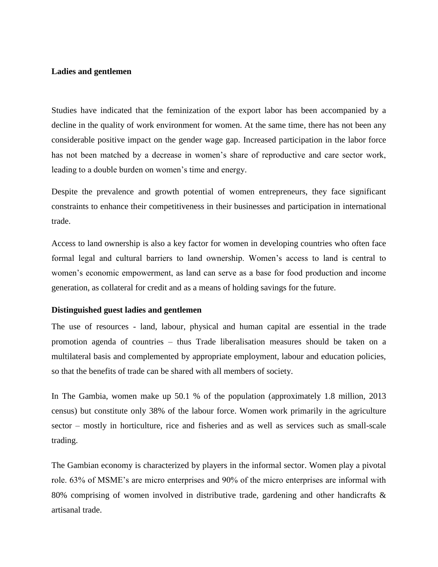## **Ladies and gentlemen**

Studies have indicated that the feminization of the export labor has been accompanied by a decline in the quality of work environment for women. At the same time, there has not been any considerable positive impact on the gender wage gap. Increased participation in the labor force has not been matched by a decrease in women's share of reproductive and care sector work, leading to a double burden on women's time and energy.

Despite the prevalence and growth potential of women entrepreneurs, they face significant constraints to enhance their competitiveness in their businesses and participation in international trade.

Access to land ownership is also a key factor for women in developing countries who often face formal legal and cultural barriers to land ownership. Women's access to land is central to women's economic empowerment, as land can serve as a base for food production and income generation, as collateral for credit and as a means of holding savings for the future.

#### **Distinguished guest ladies and gentlemen**

The use of resources - land, labour, physical and human capital are essential in the trade promotion agenda of countries – thus Trade liberalisation measures should be taken on a multilateral basis and complemented by appropriate employment, labour and education policies, so that the benefits of trade can be shared with all members of society.

In The Gambia, women make up 50.1 % of the population (approximately 1.8 million, 2013 census) but constitute only 38% of the labour force. Women work primarily in the agriculture sector – mostly in horticulture, rice and fisheries and as well as services such as small-scale trading.

The Gambian economy is characterized by players in the informal sector. Women play a pivotal role. 63% of MSME's are micro enterprises and 90% of the micro enterprises are informal with 80% comprising of women involved in distributive trade, gardening and other handicrafts & artisanal trade.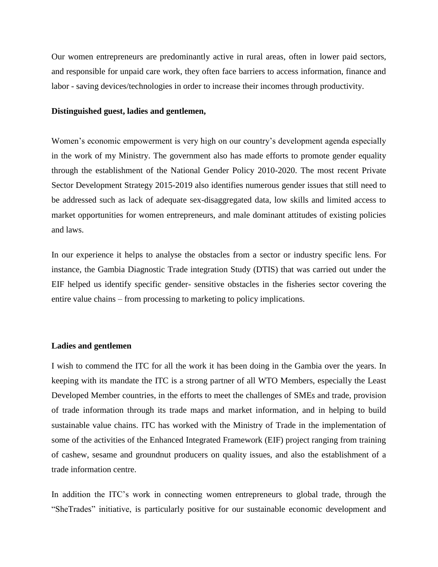Our women entrepreneurs are predominantly active in rural areas, often in lower paid sectors, and responsible for unpaid care work, they often face barriers to access information, finance and labor - saving devices/technologies in order to increase their incomes through productivity.

## **Distinguished guest, ladies and gentlemen,**

Women's economic empowerment is very high on our country's development agenda especially in the work of my Ministry. The government also has made efforts to promote gender equality through the establishment of the National Gender Policy 2010-2020. The most recent Private Sector Development Strategy 2015-2019 also identifies numerous gender issues that still need to be addressed such as lack of adequate sex-disaggregated data, low skills and limited access to market opportunities for women entrepreneurs, and male dominant attitudes of existing policies and laws.

In our experience it helps to analyse the obstacles from a sector or industry specific lens. For instance, the Gambia Diagnostic Trade integration Study (DTIS) that was carried out under the EIF helped us identify specific gender- sensitive obstacles in the fisheries sector covering the entire value chains – from processing to marketing to policy implications.

## **Ladies and gentlemen**

I wish to commend the ITC for all the work it has been doing in the Gambia over the years. In keeping with its mandate the ITC is a strong partner of all WTO Members, especially the Least Developed Member countries, in the efforts to meet the challenges of SMEs and trade, provision of trade information through its trade maps and market information, and in helping to build sustainable value chains. ITC has worked with the Ministry of Trade in the implementation of some of the activities of the Enhanced Integrated Framework (EIF) project ranging from training of cashew, sesame and groundnut producers on quality issues, and also the establishment of a trade information centre.

In addition the ITC's work in connecting women entrepreneurs to global trade, through the "SheTrades" initiative, is particularly positive for our sustainable economic development and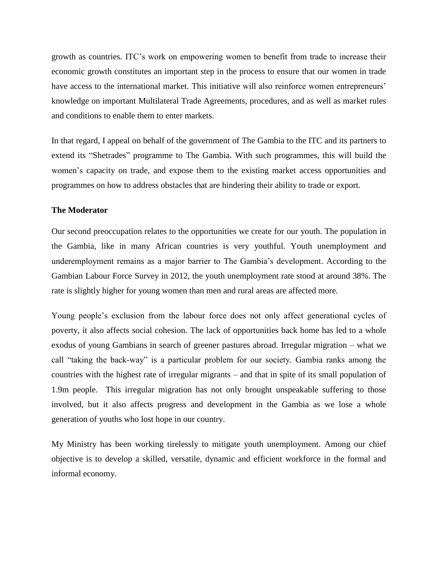growth as countries. ITC's work on empowering women to benefit from trade to increase their economic growth constitutes an important step in the process to ensure that our women in trade have access to the international market. This initiative will also reinforce women entrepreneurs' knowledge on important Multilateral Trade Agreements, procedures, and as well as market rules and conditions to enable them to enter markets.

In that regard, I appeal on behalf of the government of The Gambia to the ITC and its partners to extend its "Shetrades" programme to The Gambia. With such programmes, this will build the women's capacity on trade, and expose them to the existing market access opportunities and programmes on how to address obstacles that are hindering their ability to trade or export.

## **The Moderator**

Our second preoccupation relates to the opportunities we create for our youth. The population in the Gambia, like in many African countries is very youthful. Youth unemployment and underemployment remains as a major barrier to The Gambia's development. According to the Gambian Labour Force Survey in 2012, the youth unemployment rate stood at around 38%. The rate is slightly higher for young women than men and rural areas are affected more.

Young people's exclusion from the labour force does not only affect generational cycles of poverty, it also affects social cohesion. The lack of opportunities back home has led to a whole exodus of young Gambians in search of greener pastures abroad. Irregular migration – what we call "taking the back-way" is a particular problem for our society. Gambia ranks among the countries with the highest rate of irregular migrants – and that in spite of its small population of 1.9m people. This irregular migration has not only brought unspeakable suffering to those involved, but it also affects progress and development in the Gambia as we lose a whole generation of youths who lost hope in our country.

My Ministry has been working tirelessly to mitigate youth unemployment. Among our chief objective is to develop a skilled, versatile, dynamic and efficient workforce in the formal and informal economy.